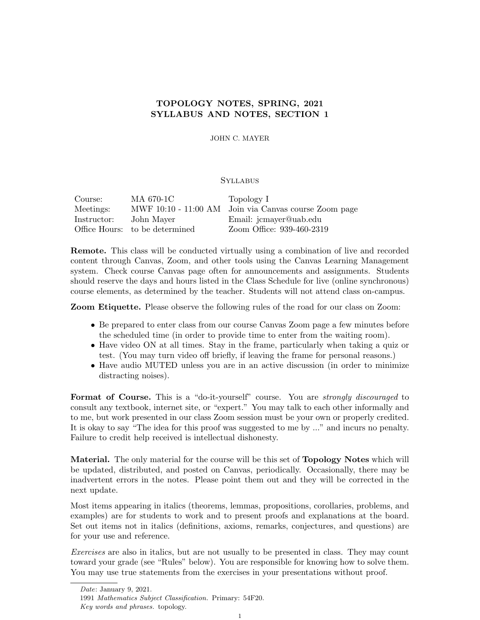# TOPOLOGY NOTES, SPRING, 2021 SYLLABUS AND NOTES, SECTION 1

JOHN C. MAYER

# **SYLLABUS**

| Course:     | MA 670-1C                      | Topology I                                            |
|-------------|--------------------------------|-------------------------------------------------------|
| Meetings:   |                                | MWF 10:10 - 11:00 AM Join via Canvas course Zoom page |
| Instructor: | John Mayer                     | Email: jcmayer@uab.edu                                |
|             | Office Hours: to be determined | Zoom Office: 939-460-2319                             |

Remote. This class will be conducted virtually using a combination of live and recorded content through Canvas, Zoom, and other tools using the Canvas Learning Management system. Check course Canvas page often for announcements and assignments. Students should reserve the days and hours listed in the Class Schedule for live (online synchronous) course elements, as determined by the teacher. Students will not attend class on-campus.

Zoom Etiquette. Please observe the following rules of the road for our class on Zoom:

- Be prepared to enter class from our course Canvas Zoom page a few minutes before the scheduled time (in order to provide time to enter from the waiting room).
- Have video ON at all times. Stay in the frame, particularly when taking a quiz or test. (You may turn video off briefly, if leaving the frame for personal reasons.)
- Have audio MUTED unless you are in an active discussion (in order to minimize distracting noises).

Format of Course. This is a "do-it-yourself" course. You are *strongly discouraged* to consult any textbook, internet site, or "expert." You may talk to each other informally and to me, but work presented in our class Zoom session must be your own or properly credited. It is okay to say "The idea for this proof was suggested to me by ..." and incurs no penalty. Failure to credit help received is intellectual dishonesty.

Material. The only material for the course will be this set of **Topology Notes** which will be updated, distributed, and posted on Canvas, periodically. Occasionally, there may be inadvertent errors in the notes. Please point them out and they will be corrected in the next update.

Most items appearing in italics (theorems, lemmas, propositions, corollaries, problems, and examples) are for students to work and to present proofs and explanations at the board. Set out items not in italics (definitions, axioms, remarks, conjectures, and questions) are for your use and reference.

Exercises are also in italics, but are not usually to be presented in class. They may count toward your grade (see "Rules" below). You are responsible for knowing how to solve them. You may use true statements from the exercises in your presentations without proof.

Date: January 9, 2021.

<sup>1991</sup> Mathematics Subject Classification. Primary: 54F20. Key words and phrases. topology.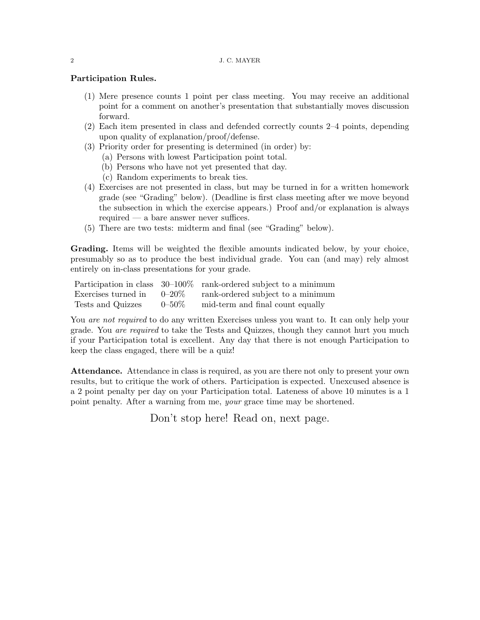## 2 J. C. MAYER

## Participation Rules.

- (1) Mere presence counts 1 point per class meeting. You may receive an additional point for a comment on another's presentation that substantially moves discussion forward.
- (2) Each item presented in class and defended correctly counts 2–4 points, depending upon quality of explanation/proof/defense.
- (3) Priority order for presenting is determined (in order) by:
	- (a) Persons with lowest Participation point total.
	- (b) Persons who have not yet presented that day.
	- (c) Random experiments to break ties.
- (4) Exercises are not presented in class, but may be turned in for a written homework grade (see "Grading" below). (Deadline is first class meeting after we move beyond the subsection in which the exercise appears.) Proof and/or explanation is always required — a bare answer never suffices.
- (5) There are two tests: midterm and final (see "Grading" below).

Grading. Items will be weighted the flexible amounts indicated below, by your choice, presumably so as to produce the best individual grade. You can (and may) rely almost entirely on in-class presentations for your grade.

|                     |                  | Participation in class $30-100\%$ rank-ordered subject to a minimum |
|---------------------|------------------|---------------------------------------------------------------------|
| Exercises turned in | $0\text{--}20\%$ | rank-ordered subject to a minimum                                   |
| Tests and Quizzes   | $0 - 50\%$       | mid-term and final count equally                                    |

You *are not required* to do any written Exercises unless you want to. It can only help your grade. You *are required* to take the Tests and Quizzes, though they cannot hurt you much if your Participation total is excellent. Any day that there is not enough Participation to keep the class engaged, there will be a quiz!

Attendance. Attendance in class is required, as you are there not only to present your own results, but to critique the work of others. Participation is expected. Unexcused absence is a 2 point penalty per day on your Participation total. Lateness of above 10 minutes is a 1 point penalty. After a warning from me, your grace time may be shortened.

Don't stop here! Read on, next page.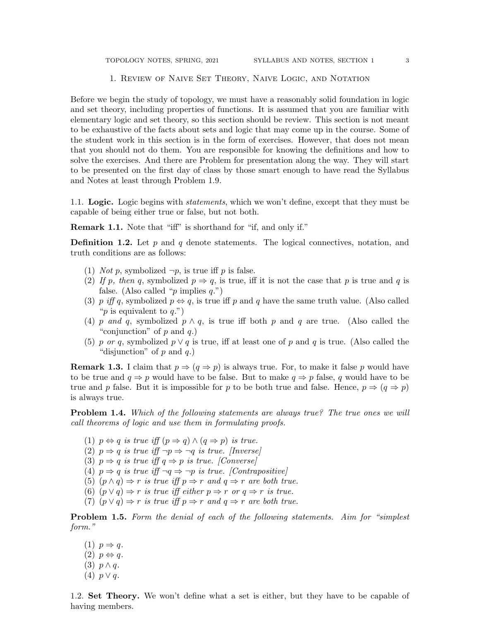#### 1. Review of Naive Set Theory, Naive Logic, and Notation

Before we begin the study of topology, we must have a reasonably solid foundation in logic and set theory, including properties of functions. It is assumed that you are familiar with elementary logic and set theory, so this section should be review. This section is not meant to be exhaustive of the facts about sets and logic that may come up in the course. Some of the student work in this section is in the form of exercises. However, that does not mean that you should not do them. You are responsible for knowing the definitions and how to solve the exercises. And there are Problem for presentation along the way. They will start to be presented on the first day of class by those smart enough to have read the Syllabus and Notes at least through Problem 1.9.

1.1. Logic. Logic begins with *statements*, which we won't define, except that they must be capable of being either true or false, but not both.

Remark 1.1. Note that "iff" is shorthand for "if, and only if."

**Definition 1.2.** Let  $p$  and  $q$  denote statements. The logical connectives, notation, and truth conditions are as follows:

- (1) *Not p*, symbolized  $\neg p$ , is true iff *p* is false.
- (2) If p, then q, symbolized  $p \Rightarrow q$ , is true, iff it is not the case that p is true and q is false. (Also called "p implies  $q$ .")
- (3) p iff q, symbolized  $p \Leftrightarrow q$ , is true iff p and q have the same truth value. (Also called "p is equivalent to  $q$ .")
- (4) p and q, symbolized  $p \wedge q$ , is true iff both p and q are true. (Also called the "conjunction" of  $p$  and  $q$ .)
- (5) p or q, symbolized  $p \vee q$  is true, iff at least one of p and q is true. (Also called the "disjunction" of  $p$  and  $q$ .)

**Remark 1.3.** I claim that  $p \Rightarrow (q \Rightarrow p)$  is always true. For, to make it false p would have to be true and  $q \Rightarrow p$  would have to be false. But to make  $q \Rightarrow p$  false, q would have to be true and p false. But it is impossible for p to be both true and false. Hence,  $p \Rightarrow (q \Rightarrow p)$ is always true.

**Problem 1.4.** Which of the following statements are always true? The true ones we will call theorems of logic and use them in formulating proofs.

(1)  $p \Leftrightarrow q$  is true iff  $(p \Rightarrow q) \wedge (q \Rightarrow p)$  is true.

(2)  $p \Rightarrow q$  is true iff  $\neg p \Rightarrow \neg q$  is true. [Inverse]

- (3)  $p \Rightarrow q$  is true iff  $q \Rightarrow p$  is true. [Converse]
- (4)  $p \Rightarrow q$  is true iff  $\neg q \Rightarrow \neg p$  is true. [Contrapositive]
- (5)  $(p \wedge q) \Rightarrow r$  is true iff  $p \Rightarrow r$  and  $q \Rightarrow r$  are both true.
- (6)  $(p \vee q) \Rightarrow r$  is true iff either  $p \Rightarrow r$  or  $q \Rightarrow r$  is true.
- (7)  $(p \lor q) \Rightarrow r$  is true iff  $p \Rightarrow r$  and  $q \Rightarrow r$  are both true.

**Problem 1.5.** Form the denial of each of the following statements. Aim for "simplest" form."

(1)  $p \Rightarrow q$ .  $(2)$   $p \Leftrightarrow q$ . (3)  $p \wedge q$ . (4)  $p \vee q$ .

1.2. Set Theory. We won't define what a set is either, but they have to be capable of having members.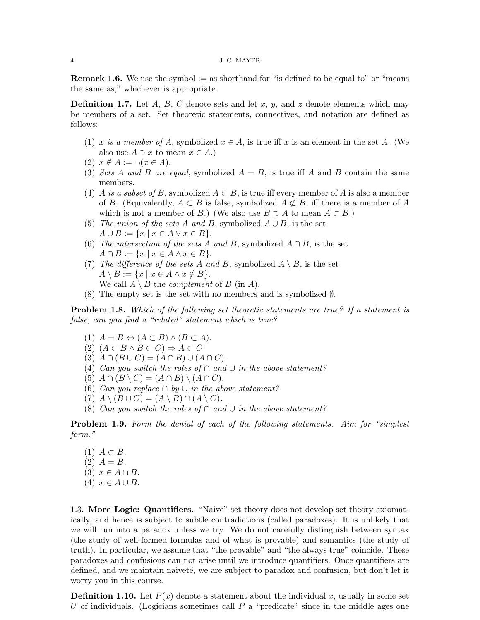**Remark 1.6.** We use the symbol := as shorthand for "is defined to be equal to" or "means" the same as," whichever is appropriate.

**Definition 1.7.** Let A, B, C denote sets and let x, y, and z denote elements which may be members of a set. Set theoretic statements, connectives, and notation are defined as follows:

- (1) x is a member of A, symbolized  $x \in A$ , is true iff x is an element in the set A. (We also use  $A \ni x$  to mean  $x \in A$ .)
- (2)  $x \notin A := \neg(x \in A)$ .
- (3) Sets A and B are equal, symbolized  $A = B$ , is true iff A and B contain the same members.
- (4) A is a subset of B, symbolized  $A \subset B$ , is true iff every member of A is also a member of B. (Equivalently,  $A \subset B$  is false, symbolized  $A \not\subset B$ , iff there is a member of A which is not a member of B.) (We also use  $B \supseteq A$  to mean  $A \subset B$ .)
- (5) The union of the sets A and B, symbolized  $A \cup B$ , is the set  $A \cup B := \{x \mid x \in A \lor x \in B\}.$
- (6) The intersection of the sets A and B, symbolized  $A \cap B$ , is the set  $A \cap B := \{x \mid x \in A \land x \in B\}.$
- (7) The difference of the sets A and B, symbolized  $A \setminus B$ , is the set  $A \setminus B := \{x \mid x \in A \land x \notin B\}.$ We call  $A \setminus B$  the *complement* of  $B$  (in  $A$ ).
- (8) The empty set is the set with no members and is symbolized  $\emptyset$ .

Problem 1.8. Which of the following set theoretic statements are true? If a statement is false, can you find a "related" statement which is true?

- (1)  $A = B \Leftrightarrow (A \subset B) \wedge (B \subset A).$
- (2)  $(A \subset B \land B \subset C) \Rightarrow A \subset C$ .
- (3)  $A \cap (B \cup C) = (A \cap B) \cup (A \cap C)$ .
- (4) Can you switch the roles of ∩ and  $\cup$  in the above statement?
- (5)  $A \cap (B \setminus C) = (A \cap B) \setminus (A \cap C)$ .
- (6) Can you replace  $\cap$  by  $\cup$  in the above statement?
- (7)  $A \setminus (B \cup C) = (A \setminus B) \cap (A \setminus C).$
- (8) Can you switch the roles of ∩ and  $\cup$  in the above statement?

**Problem 1.9.** Form the denial of each of the following statements. Aim for "simplest" form."

 $(1)$   $A \subset B$ .  $(2)$   $A = B$ . (3)  $x \in A \cap B$ . (4)  $x \in A \cup B$ .

1.3. More Logic: Quantifiers. "Naive" set theory does not develop set theory axiomatically, and hence is subject to subtle contradictions (called paradoxes). It is unlikely that we will run into a paradox unless we try. We do not carefully distinguish between syntax (the study of well-formed formulas and of what is provable) and semantics (the study of truth). In particular, we assume that "the provable" and "the always true" coincide. These paradoxes and confusions can not arise until we introduce quantifiers. Once quantifiers are defined, and we maintain naiveté, we are subject to paradox and confusion, but don't let it worry you in this course.

**Definition 1.10.** Let  $P(x)$  denote a statement about the individual x, usually in some set U of individuals. (Logicians sometimes call  $P$  a "predicate" since in the middle ages one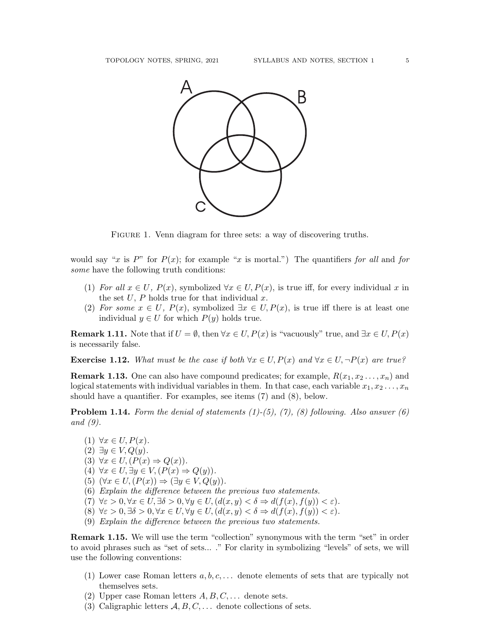

FIGURE 1. Venn diagram for three sets: a way of discovering truths.

would say "x is P" for  $P(x)$ ; for example "x is mortal.") The quantifiers for all and for some have the following truth conditions:

- (1) For all  $x \in U$ ,  $P(x)$ , symbolized  $\forall x \in U$ ,  $P(x)$ , is true iff, for every individual x in the set  $U$ ,  $P$  holds true for that individual  $x$ .
- (2) For some  $x \in U$ ,  $P(x)$ , symbolized  $\exists x \in U, P(x)$ , is true iff there is at least one individual  $y \in U$  for which  $P(y)$  holds true.

**Remark 1.11.** Note that if  $U = \emptyset$ , then  $\forall x \in U, P(x)$  is "vacuously" true, and  $\exists x \in U, P(x)$ is necessarily false.

**Exercise 1.12.** What must be the case if both  $\forall x \in U, P(x)$  and  $\forall x \in U, \neg P(x)$  are true?

**Remark 1.13.** One can also have compound predicates; for example,  $R(x_1, x_2, \ldots, x_n)$  and logical statements with individual variables in them. In that case, each variable  $x_1, x_2 \ldots, x_n$ should have a quantifier. For examples, see items (7) and (8), below.

**Problem 1.14.** Form the denial of statements  $(1)-(5)$ ,  $(7)$ ,  $(8)$  following. Also answer  $(6)$ and (9).

- (1)  $\forall x \in U, P(x)$ .
- $(2) \exists y \in V, Q(y).$
- (3)  $\forall x \in U, (P(x) \Rightarrow Q(x)).$
- (4)  $\forall x \in U, \exists y \in V, (P(x) \Rightarrow Q(y)).$
- (5)  $(\forall x \in U, (P(x)) \Rightarrow (\exists y \in V, Q(y)).$
- (6) Explain the difference between the previous two statements.
- (7)  $\forall \varepsilon > 0, \forall x \in U, \exists \delta > 0, \forall y \in U, (d(x, y) < \delta \Rightarrow d(f(x), f(y)) < \varepsilon).$
- (8)  $\forall \varepsilon > 0, \exists \delta > 0, \forall x \in U, \forall y \in U, (d(x, y) < \delta \Rightarrow d(f(x), f(y)) < \varepsilon).$
- (9) Explain the difference between the previous two statements.

**Remark 1.15.** We will use the term "collection" synonymous with the term "set" in order to avoid phrases such as "set of sets... ." For clarity in symbolizing "levels" of sets, we will use the following conventions:

- (1) Lower case Roman letters  $a, b, c, \ldots$  denote elements of sets that are typically not themselves sets.
- (2) Upper case Roman letters  $A, B, C, \ldots$  denote sets.
- (3) Caligraphic letters  $A, B, C, \ldots$  denote collections of sets.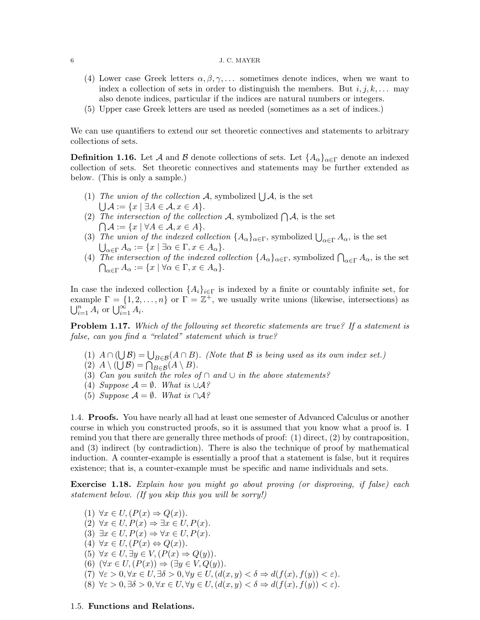## $\,$  6  $\,$  J. C. MAYER  $\,$

- (4) Lower case Greek letters  $\alpha, \beta, \gamma, \ldots$  sometimes denote indices, when we want to index a collection of sets in order to distinguish the members. But  $i, j, k, \ldots$  may also denote indices, particular if the indices are natural numbers or integers.
- (5) Upper case Greek letters are used as needed (sometimes as a set of indices.)

We can use quantifiers to extend our set theoretic connectives and statements to arbitrary collections of sets.

**Definition 1.16.** Let A and B denote collections of sets. Let  $\{A_{\alpha}\}_{{\alpha}\in\Gamma}$  denote an indexed collection of sets. Set theoretic connectives and statements may be further extended as below. (This is only a sample.)

- (1) The union of the collection A, symbolized  $\bigcup A$ , is the set  $\bigcup \mathcal{A} := \{x \mid \exists A \in \mathcal{A}, x \in A\}.$
- (2) The intersection of the collection A, symbolized  $\bigcap A$ , is the set  $\bigcap \mathcal{A} := \{x \mid \forall A \in \mathcal{A}, x \in A\}.$
- (3) The union of the indexed collection  $\{A_{\alpha}\}_{{\alpha}\in \Gamma}$ , symbolized  $\bigcup_{{\alpha}\in \Gamma} A_{\alpha}$ , is the set  $\bigcup_{\alpha \in \Gamma} A_{\alpha} := \{x \mid \exists \alpha \in \Gamma, x \in A_{\alpha}\}.$
- (4) The intersection of the indexed collection  $\{A_{\alpha}\}_{{\alpha}\in {\Gamma}}$ , symbolized  $\bigcap_{{\alpha}\in {\Gamma}} A_{\alpha}$ , is the set  $\bigcap_{\alpha \in \Gamma} A_{\alpha} := \{x \mid \forall \alpha \in \Gamma, x \in A_{\alpha}\}.$

In case the indexed collection  $\{A_i\}_{i\in\Gamma}$  is indexed by a finite or countably infinite set, for example  $\Gamma = \{1, 2, ..., n\}$  or  $\Gamma = \mathbb{Z}^+$ , we usually write unions (likewise, intersections) as  $\bigcup_{i=1}^n A_i$  or  $\bigcup_{i=1}^\infty A_i$ .

**Problem 1.17.** Which of the following set theoretic statements are true? If a statement is false, can you find a "related" statement which is true?

- (1)  $A \cap (\bigcup \mathcal{B}) = \bigcup_{B \in \mathcal{B}} (A \cap B)$ . (Note that  $\mathcal B$  is being used as its own index set.)
- (2)  $A \setminus (\bigcup \mathcal{B}) = \bigcap_{B \in \mathcal{B}} (A \setminus B).$
- (3) Can you switch the roles of ∩ and  $\cup$  in the above statements?
- (4) Suppose  $\mathcal{A} = \emptyset$ . What is  $\cup \mathcal{A}$ ?
- (5) Suppose  $\mathcal{A} = \emptyset$ . What is ∩ $\mathcal{A}$ ?

1.4. Proofs. You have nearly all had at least one semester of Advanced Calculus or another course in which you constructed proofs, so it is assumed that you know what a proof is. I remind you that there are generally three methods of proof: (1) direct, (2) by contraposition, and (3) indirect (by contradiction). There is also the technique of proof by mathematical induction. A counter-example is essentially a proof that a statement is false, but it requires existence; that is, a counter-example must be specific and name individuals and sets.

Exercise 1.18. Explain how you might go about proving (or disproving, if false) each statement below. (If you skip this you will be sorry!)

(1)  $\forall x \in U, (P(x) \Rightarrow Q(x)).$ (2)  $\forall x \in U, P(x) \Rightarrow \exists x \in U, P(x)$ . (3)  $\exists x \in U, P(x) \Rightarrow \forall x \in U, P(x)$ . (4)  $\forall x \in U, (P(x) \Leftrightarrow Q(x)).$ (5)  $\forall x \in U, \exists y \in V, (P(x) \Rightarrow Q(y)).$ (6)  $(\forall x \in U, (P(x)) \Rightarrow (\exists y \in V, Q(y)).$ (7)  $\forall \varepsilon > 0, \forall x \in U, \exists \delta > 0, \forall y \in U, (d(x, y) < \delta \Rightarrow d(f(x), f(y)) < \varepsilon).$ (8)  $\forall \varepsilon > 0, \exists \delta > 0, \forall x \in U, \forall y \in U, (d(x, y) < \delta \Rightarrow d(f(x), f(y)) < \varepsilon).$ 

## 1.5. Functions and Relations.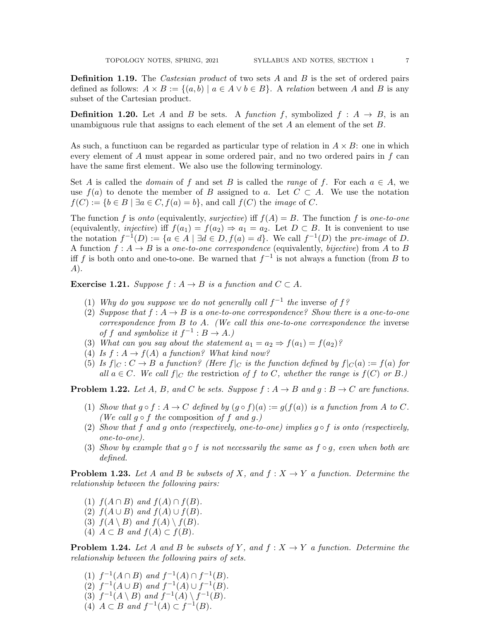**Definition 1.19.** The *Castesian product* of two sets A and B is the set of ordered pairs defined as follows:  $A \times B := \{(a, b) | a \in A \vee b \in B\}$ . A relation between A and B is any subset of the Cartesian product.

**Definition 1.20.** Let A and B be sets. A function f, symbolized  $f : A \rightarrow B$ , is an unambiguous rule that assigns to each element of the set  $A$  an element of the set  $B$ .

As such, a functiuon can be regarded as particular type of relation in  $A \times B$ : one in which every element of  $A$  must appear in some ordered pair, and no two ordered pairs in  $f$  can have the same first element. We also use the following terminology.

Set A is called the *domain* of f and set B is called the *range* of f. For each  $a \in A$ , we use  $f(a)$  to denote the member of B assigned to a. Let  $C \subset A$ . We use the notation  $f(C) := \{b \in B \mid \exists a \in C, f(a) = b\}$ , and call  $f(C)$  the *image* of C.

The function f is onto (equivalently, surjective) iff  $f(A) = B$ . The function f is one-to-one (equivalently, *injective*) iff  $f(a_1) = f(a_2) \Rightarrow a_1 = a_2$ . Let  $D \subset B$ . It is convenient to use the notation  $f^{-1}(D) := \{a \in A \mid \exists d \in D, f(a) = d\}$ . We call  $f^{-1}(D)$  the pre-image of D. A function  $f: A \rightarrow B$  is a one-to-one correspondence (equivalently, bijective) from A to B iff f is both onto and one-to-one. Be warned that  $f^{-1}$  is not always a function (from B to A).

**Exercise 1.21.** Suppose  $f : A \rightarrow B$  is a function and  $C \subset A$ .

- (1) Why do you suppose we do not generally call  $f^{-1}$  the inverse of  $f$ ?
- (2) Suppose that  $f : A \to B$  is a one-to-one correspondence? Show there is a one-to-one correspondence from  $B$  to  $A$ . (We call this one-to-one correspondence the inverse of f and symbolize it  $f^{-1}: B \to A$ .)
- (3) What can you say about the statement  $a_1 = a_2 \Rightarrow f(a_1) = f(a_2)$ ?
- (4) Is  $f: A \to f(A)$  a function? What kind now?
- (5) Is  $f|_C : C \to B$  a function? (Here  $f|_C$  is the function defined by  $f|_C(a) := f(a)$  for all  $a \in C$ . We call  $f|_C$  the restriction of f to C, whether the range is  $f(C)$  or B.)

**Problem 1.22.** Let A, B, and C be sets. Suppose  $f : A \rightarrow B$  and  $q : B \rightarrow C$  are functions.

- (1) Show that  $g \circ f : A \to C$  defined by  $(g \circ f)(a) := g(f(a))$  is a function from A to C. (We call  $q \circ f$  the composition of f and g.)
- (2) Show that f and g onto (respectively, one-to-one) implies g  $\circ$  f is onto (respectively, one-to-one).
- (3) Show by example that  $g \circ f$  is not necessarily the same as  $f \circ g$ , even when both are defined.

**Problem 1.23.** Let A and B be subsets of X, and  $f: X \to Y$  a function. Determine the relationship between the following pairs:

- (1)  $f(A \cap B)$  and  $f(A) \cap f(B)$ .
- (2)  $f(A \cup B)$  and  $f(A) \cup f(B)$ .
- (3)  $f(A \setminus B)$  and  $f(A) \setminus f(B)$ .
- (4)  $A \subset B$  and  $f(A) \subset f(B)$ .

**Problem 1.24.** Let A and B be subsets of Y, and  $f: X \to Y$  a function. Determine the relationship between the following pairs of sets.

(1)  $f^{-1}(A \cap B)$  and  $f^{-1}(A) \cap f^{-1}(B)$ . (2)  $f^{-1}(A \cup B)$  and  $f^{-1}(A) \cup f^{-1}(B)$ . (3)  $f^{-1}(A \setminus B)$  and  $f^{-1}(A) \setminus f^{-1}(B)$ . (4)  $A \subset B$  and  $f^{-1}(A) \subset f^{-1}(B)$ .